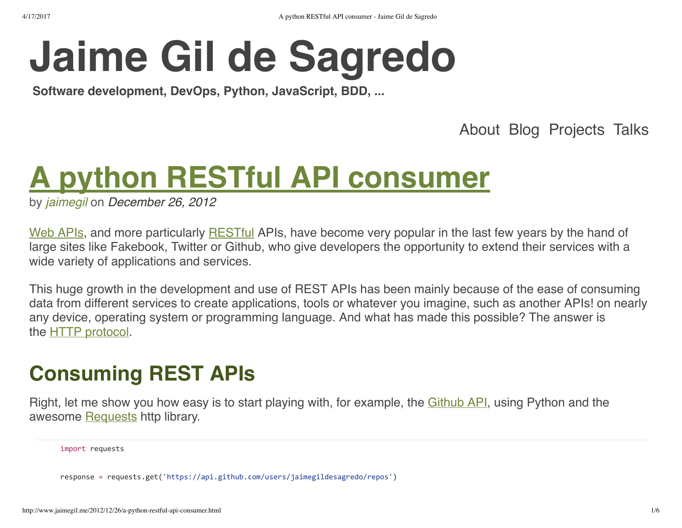# **[Jaime Gil de Sagredo](http://www.jaimegil.me/)**

**Software development, DevOps, Python, JavaScript, BDD, ...**

[About](http://www.jaimegil.me/about.html) [Blog](http://www.jaimegil.me/blog.html) [Projects](http://www.jaimegil.me/projects.html) [Talks](http://www.jaimegil.me/talks.html)

# **A python [RESTful API consumer](http://www.jaimegil.me/2012/12/26/a-python-restful-api-consumer.html)**

by *[jaimegil](https://twitter.com/jaimegil)* on *December 26, 2012*

[Web APIs](http://en.wikipedia.org/wiki/Application_programming_interface#Web_APIs), and more particularly [RESTful](http://en.wikipedia.org/wiki/Representational_state_transfer) APIs, have become very popular in the last few years by the hand of large sites like Fakebook, Twitter or Github, who give developers the opportunity to extend their services with a wide variety of applications and services.

This huge growth in the development and use of REST APIs has been mainly because of the ease of consuming data from different services to create applications, tools or whatever you imagine, such as another APIs! on nearly any device, operating system or programming language. And what has made this possible? The answer is the [HTTP protocol.](http://en.wikipedia.org/wiki/Hypertext_Transfer_Protocol)

# **Consuming REST APIs**

Right, let me show you how easy is to start playing with, for example, the *Github API*, using Python and the awesome [Requests](http://python-requests.org/) http library.

import requests

response = requests.get('https://api.github.com/users/jaimegildesagredo/repos')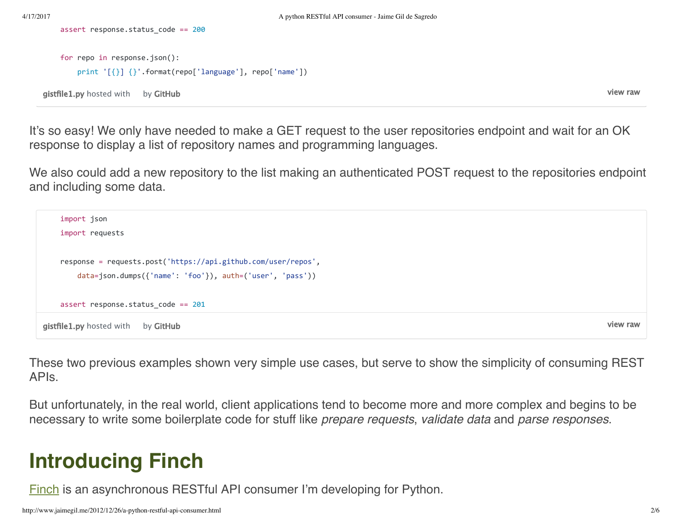```
gistfile1.pyGitHub
   for repo in response.json():
           print '[{}] {}'.format(repo['language'], repo['name'])
```
assert response.status\_code == 200

[view raw](https://gist.github.com/jaimegildesagredo/4356685/raw/539fa56475cb3e230c523c5405e32273feb69eab/gistfile1.py)

It's so easy! We only have needed to make a GET request to the user repositories endpoint and wait for an OK response to display a list of repository names and programming languages.

We also could add a new repository to the list making an authenticated POST request to the repositories endpoint and including some data.

```
view raw
gistfile1.pyGitHub
   import json
   import requests
   response = requests.post('https://api.github.com/user/repos',
           data=json.dumps({'name': 'foo'}), auth=('user', 'pass'))
   assert response.status_code == 201
```
These two previous examples shown very simple use cases, but serve to show the simplicity of consuming REST APIs.

But unfortunately, in the real world, client applications tend to become more and more complex and begins to be necessary to write some boilerplate code for stuff like *prepare requests*, *validate data* and *parse responses*.

# **Introducing Finch**

[Finch](https://github.com/jaimegildesagredo/finch) is an asynchronous RESTful API consumer I'm developing for Python.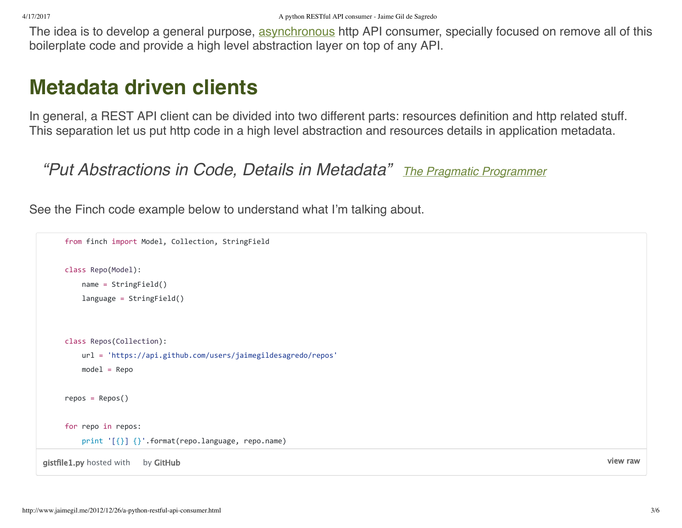The idea is to develop a general purpose, [asynchronous](http://en.wikipedia.org/wiki/Asynchronous_I/O) http API consumer, specially focused on remove all of this boilerplate code and provide a high level abstraction layer on top of any API.

#### **Metadata driven clients**

In general, a REST API client can be divided into two different parts: resources definition and http related stuff. This separation let us put http code in a high level abstraction and resources details in application metadata.

```
"Put Abstractions in Code, Details in Metadata" The Pragmatic Programmer
```
See the Finch code example below to understand what I'm talking about.

```
gistfile1.pyGitHub
    from finch import Model, Collection, StringField
     class Repo(Model):
             name = StringField()
             language = StringField()
     class Repos(Collection):
             url = 'https://api.github.com/users/jaimegildesagredo/repos'
         model = Reporepos = Repos()
    for repo in repos:
             print '[{}] {}'.format(repo.language, repo.name)
```
[view raw](https://gist.github.com/jaimegildesagredo/4358924/raw/0ec299de538e1dda1a10d0d535ad9ce592478d54/gistfile1.py)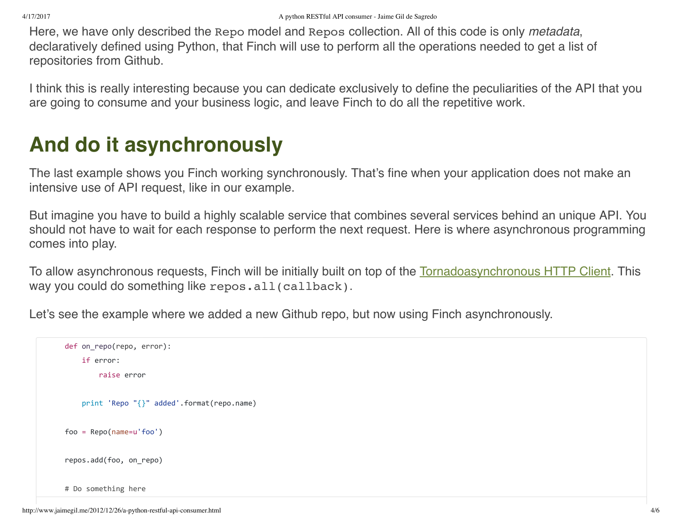Here, we have only described the Repo model and Repos collection. All of this code is only *metadata*, declaratively defined using Python, that Finch will use to perform all the operations needed to get a list of repositories from Github.

I think this is really interesting because you can dedicate exclusively to define the peculiarities of the API that you are going to consume and your business logic, and leave Finch to do all the repetitive work.

# **And do it asynchronously**

The last example shows you Finch working synchronously. That's fine when your application does not make an intensive use of API request, like in our example.

But imagine you have to build a highly scalable service that combines several services behind an unique API. You should not have to wait for each response to perform the next request. Here is where asynchronous programming comes into play.

To allow asynchronous requests, Finch will be initially built on top of the [Tornado](http://www.tornadoweb.org/)[asynchronous HTTP Client](http://www.tornadoweb.org/documentation/httpclient.html#tornado.httpclient.AsyncHTTPClient). This way you could do something like repos.all(callback).

Let's see the example where we added a new Github repo, but now using Finch asynchronously.

```
def on repo(repo, error):
        if error:
                raise error
        print 'Repo "{}" added'.format(repo.name)
foo = Repo(name=u'foo')
repos.add(foo, on_repo)
# Do something here
```